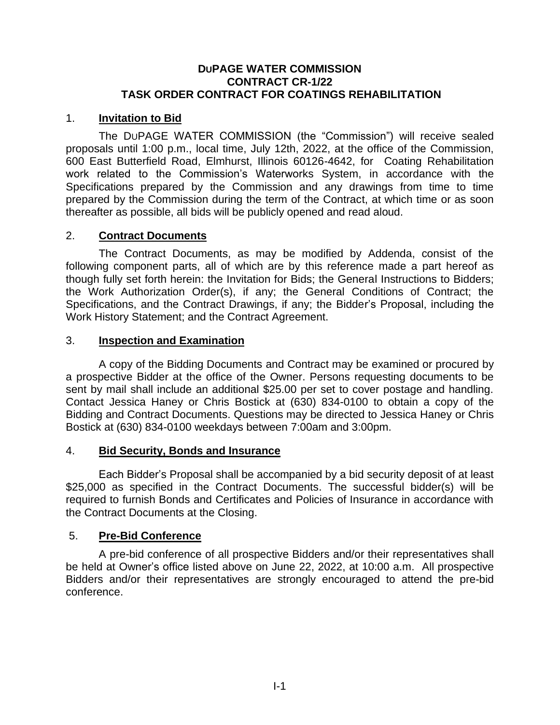### **DUPAGE WATER COMMISSION CONTRACT CR-1/22 TASK ORDER CONTRACT FOR COATINGS REHABILITATION**

## 1. **Invitation to Bid**

The DUPAGE WATER COMMISSION (the "Commission") will receive sealed proposals until 1:00 p.m., local time, July 12th, 2022, at the office of the Commission, 600 East Butterfield Road, Elmhurst, Illinois 60126-4642, for Coating Rehabilitation work related to the Commission's Waterworks System, in accordance with the Specifications prepared by the Commission and any drawings from time to time prepared by the Commission during the term of the Contract, at which time or as soon thereafter as possible, all bids will be publicly opened and read aloud.

### 2. **Contract Documents**

The Contract Documents, as may be modified by Addenda, consist of the following component parts, all of which are by this reference made a part hereof as though fully set forth herein: the Invitation for Bids; the General Instructions to Bidders; the Work Authorization Order(s), if any; the General Conditions of Contract; the Specifications, and the Contract Drawings, if any; the Bidder's Proposal, including the Work History Statement; and the Contract Agreement.

### 3. **Inspection and Examination**

A copy of the Bidding Documents and Contract may be examined or procured by a prospective Bidder at the office of the Owner. Persons requesting documents to be sent by mail shall include an additional \$25.00 per set to cover postage and handling. Contact Jessica Haney or Chris Bostick at (630) 834-0100 to obtain a copy of the Bidding and Contract Documents. Questions may be directed to Jessica Haney or Chris Bostick at (630) 834-0100 weekdays between 7:00am and 3:00pm.

### 4. **Bid Security, Bonds and Insurance**

Each Bidder's Proposal shall be accompanied by a bid security deposit of at least \$25,000 as specified in the Contract Documents. The successful bidder(s) will be required to furnish Bonds and Certificates and Policies of Insurance in accordance with the Contract Documents at the Closing.

### 5. **Pre-Bid Conference**

A pre-bid conference of all prospective Bidders and/or their representatives shall be held at Owner's office listed above on June 22, 2022, at 10:00 a.m. All prospective Bidders and/or their representatives are strongly encouraged to attend the pre-bid conference.